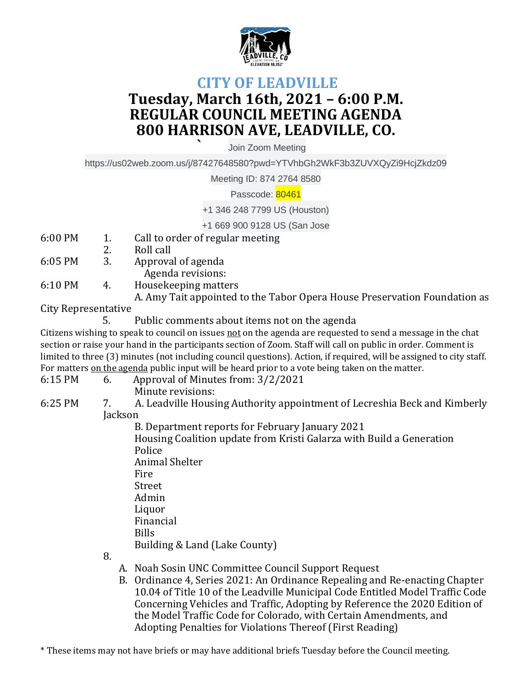

## **CITY OF LEADVILLE Tuesday, March 16th, 2021 – 6:00 P.M. REGULAR COUNCIL MEETING AGENDA 800 HARRISON AVE, LEADVILLE, CO.**

**`** Join Zoom Meeting

https://us02web.zoom.us/j/87427648580?pwd=YTVhbGh2WkF3b3ZUVXQyZi9HcjZkdz09

Meeting ID: 874 2764 8580

Passcode: 80461

+1 346 248 7799 US (Houston)

+1 669 900 9128 US (San Jose

- 6:00 PM 1. Call to order of regular meeting
- 2. Roll call
- 6:05 PM 3. Approval of agenda
	- Agenda revisions:
- 6:10 PM 4. Housekeeping matters
	- A. Amy Tait appointed to the Tabor Opera House Preservation Foundation as

City Representative

5. Public comments about items not on the agenda

Citizens wishing to speak to council on issues not on the agenda are requested to send a message in the chat section or raise your hand in the participants section of Zoom. Staff will call on public in order. Comment is limited to three (3) minutes (not including council questions). Action, if required, will be assigned to city staff. For matters on the agenda public input will be heard prior to a vote being taken on the matter.

- 6:15 PM 6. Approval of Minutes from: 3/2/2021 Minute revisions:
	-
- 6:25 PM 7. A. Leadville Housing Authority appointment of Lecreshia Beck and Kimberly **Jackson**

B. Department reports for February January 2021 Housing Coalition update from Kristi Galarza with Build a Generation Police Animal Shelter Fire Street Admin Liquor Financial Bills Building & Land (Lake County)

8.

- A. Noah Sosin UNC Committee Council Support Request
- B. Ordinance 4, Series 2021: An Ordinance Repealing and Re-enacting Chapter 10.04 of Title 10 of the Leadville Municipal Code Entitled Model Traffic Code Concerning Vehicles and Traffic, Adopting by Reference the 2020 Edition of the Model Traffic Code for Colorado, with Certain Amendments, and Adopting Penalties for Violations Thereof (First Reading)

\* These items may not have briefs or may have additional briefs Tuesday before the Council meeting.